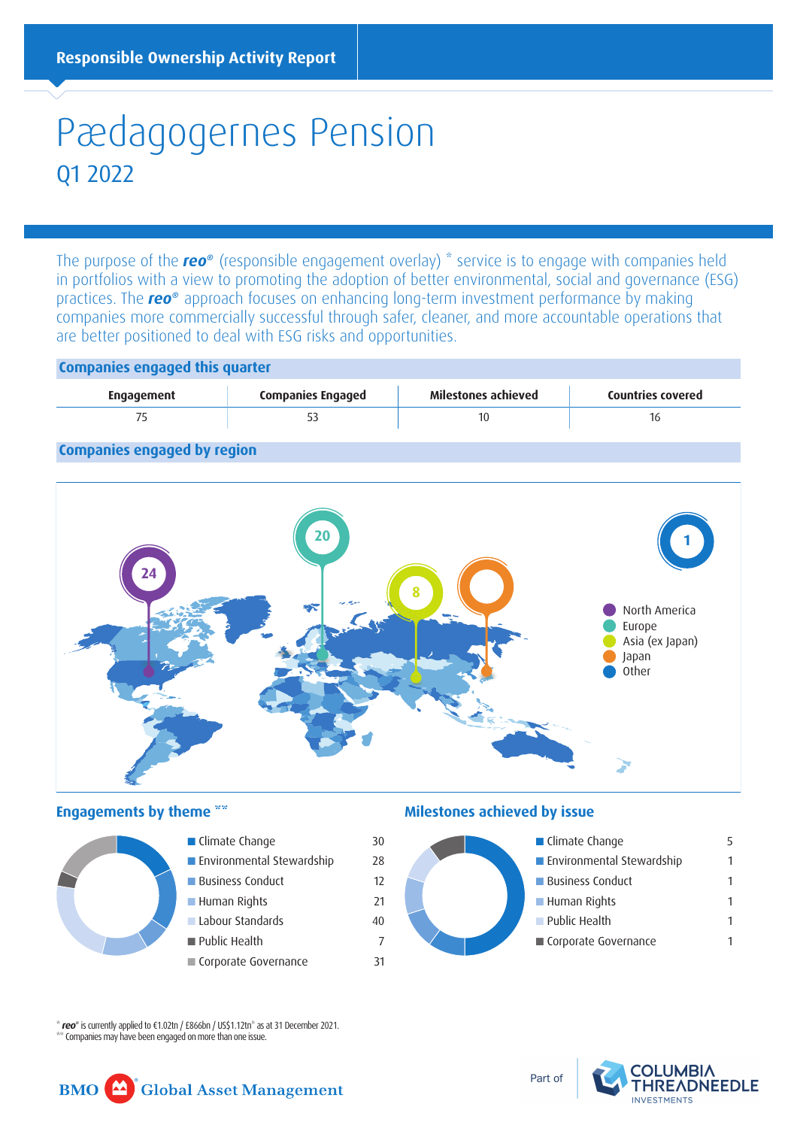# Pædagogernes Pension Q1 2022

The purpose of the *reo®* (responsible engagement overlay) \* service is to engage with companies held in portfolios with a view to promoting the adoption of better environmental, social and governance (ESG) practices. The *reo®* approach focuses on enhancing long-term investment performance by making companies more commercially successful through safer, cleaner, and more accountable operations that are better positioned to deal with ESG risks and opportunities.

# **Companies engaged this quarter**



# **Companies engaged by region**





### **Engagements by theme**  $\mathbb{R}^*$  **<b>Milestones achieved by issue**



\* *reo®* is currently applied to €1.02tn / £866bn / US\$1.12tn\* as at 31 December 2021. \*\* Companies may have been engaged on more than one issue.

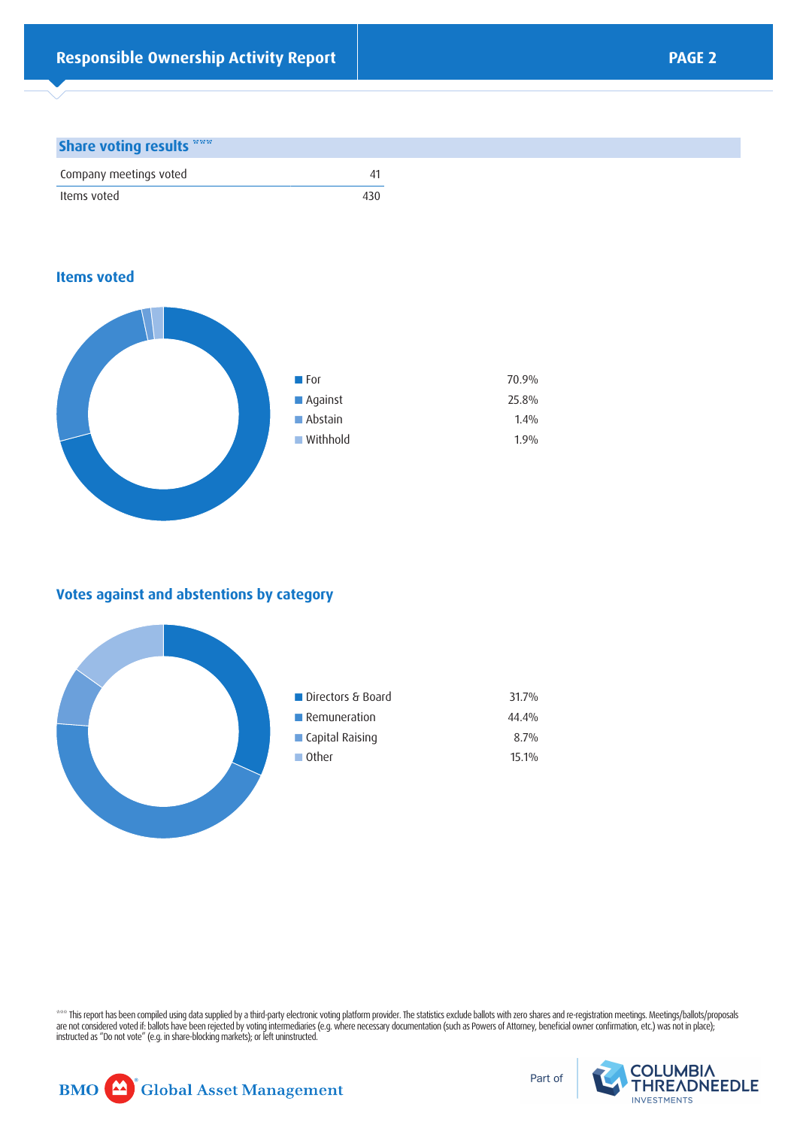#### **Share voting results \*\*\***

| Company meetings voted |     |
|------------------------|-----|
| Items voted            | 430 |

### **Items voted**



# **Votes against and abstentions by category**



\*\*\* This report has been compiled using data supplied by a third-party electronic voting platform provider. The statistics exclude ballots with zero shares and re-registration meetings. Meetings/ballots/proposals are not considered voted if: ballots have been rejected by voting intermediaries (e.g. where necessary documentation (such as Powers of Attorney, beneficial owner confirmation, etc.) was not in place); instructed as "Do not vote" (e.g. in share-blocking markets); or left uninstructed.



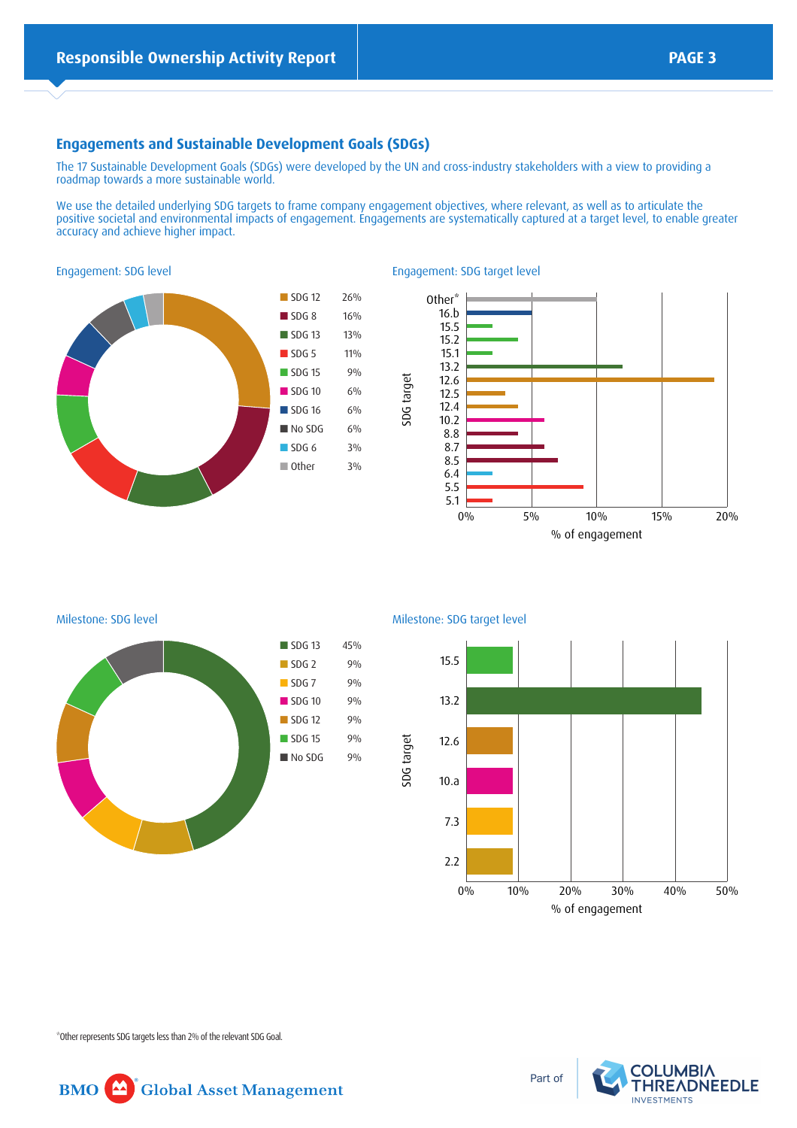## **Engagements and Sustainable Development Goals (SDGs)**

The 17 Sustainable Development Goals (SDGs) were developed by the UN and cross-industry stakeholders with a view to providing a roadmap towards a more sustainable world.

We use the detailed underlying SDG targets to frame company engagement objectives, where relevant, as well as to articulate the positive societal and environmental impacts of engagement. Engagements are systematically captured at a target level, to enable greater accuracy and achieve higher impact.





Engagement: SDG target level



Milestone: SDG level



Milestone: SDG target level

SDG target



\*Other represents SDG targets less than 2% of the relevant SDG Goal.



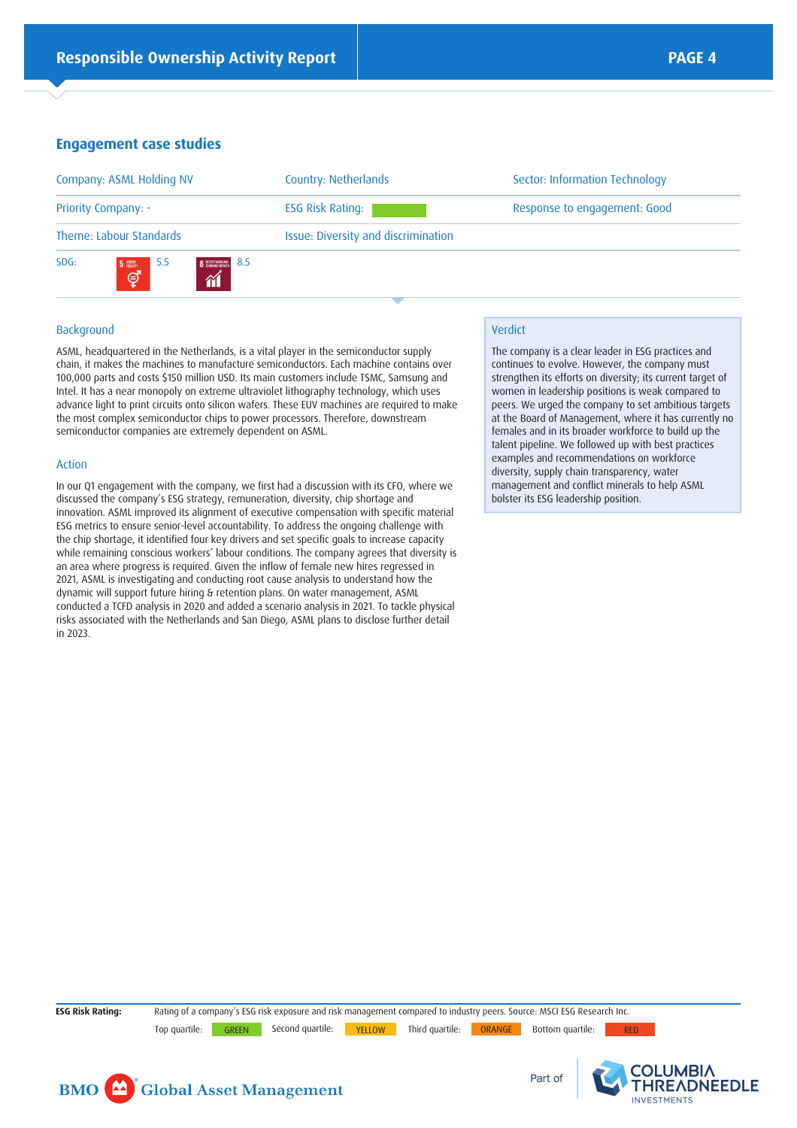# **Engagement case studies**

| Company: ASML Holding NV                                                                                                       | Country: Netherlands                | Sector: Information Technology |
|--------------------------------------------------------------------------------------------------------------------------------|-------------------------------------|--------------------------------|
| <b>Priority Company: -</b>                                                                                                     | <b>ESG Risk Rating:</b>             | Response to engagement: Good   |
| Theme: Labour Standards                                                                                                        | Issue: Diversity and discrimination |                                |
| SDG:<br>-8.5<br>-5.5<br><b>8</b> DECENT MORK AND<br>$\begin{bmatrix} 5 \frac{600R}{6000T} \\ 1 \frac{1}{2} \end{bmatrix}$<br>衜 |                                     |                                |

#### Background

ASML, headquartered in the Netherlands, is a vital player in the semiconductor supply chain, it makes the machines to manufacture semiconductors. Each machine contains over 100,000 parts and costs \$150 million USD. Its main customers include TSMC, Samsung and Intel. It has a near monopoly on extreme ultraviolet lithography technology, which uses advance light to print circuits onto silicon wafers. These EUV machines are required to make the most complex semiconductor chips to power processors. Therefore, downstream semiconductor companies are extremely dependent on ASML.

#### Action

In our Q1 engagement with the company, we first had a discussion with its CFO, where we discussed the company's ESG strategy, remuneration, diversity, chip shortage and innovation. ASML improved its alignment of executive compensation with specific material ESG metrics to ensure senior-level accountability. To address the ongoing challenge with the chip shortage, it identified four key drivers and set specific goals to increase capacity while remaining conscious workers' labour conditions. The company agrees that diversity is an area where progress is required. Given the inflow of female new hires regressed in 2021, ASML is investigating and conducting root cause analysis to understand how the dynamic will support future hiring & retention plans. On water management, ASML conducted a TCFD analysis in 2020 and added a scenario analysis in 2021. To tackle physical risks associated with the Netherlands and San Diego, ASML plans to disclose further detail in 2023.

#### Verdict

The company is a clear leader in ESG practices and continues to evolve. However, the company must strengthen its efforts on diversity; its current target of women in leadership positions is weak compared to peers. We urged the company to set ambitious targets at the Board of Management, where it has currently no females and in its broader workforce to build up the talent pipeline. We followed up with best practices examples and recommendations on workforce diversity, supply chain transparency, water management and conflict minerals to help ASML bolster its ESG leadership position.

**ESG Risk Rating:** Rating of a company's ESG risk exposure and risk management compared to industry peers. Source: MSCI ESG Research Inc. Top quartile: GREEN Second quartile: YELLOW Third quartile: ORANGE Bottom quartile: RED





OLUMBIA

**INVESTMENTS** 

**HREADNEEDLE**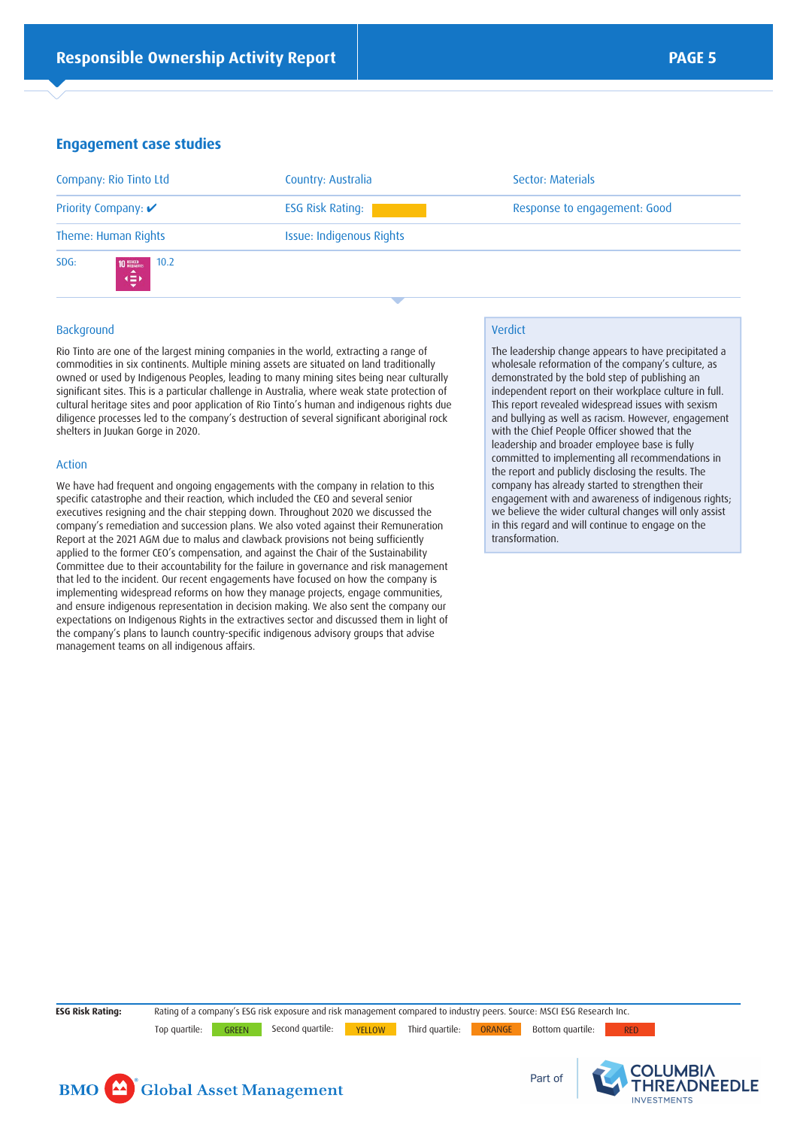#### **Engagement case studies**

| Company: Rio Tinto Ltd                          | Country: Australia       | Sector: Materials            |
|-------------------------------------------------|--------------------------|------------------------------|
| Priority Company: ✔                             | <b>ESG Risk Rating:</b>  | Response to engagement: Good |
| Theme: Human Rights                             | Issue: Indigenous Rights |                              |
| SDG:<br>10.2<br><b>10 REQUIRES</b><br>▴<br>ا⊄چە |                          |                              |

#### Background

Rio Tinto are one of the largest mining companies in the world, extracting a range of commodities in six continents. Multiple mining assets are situated on land traditionally owned or used by Indigenous Peoples, leading to many mining sites being near culturally significant sites. This is a particular challenge in Australia, where weak state protection of cultural heritage sites and poor application of Rio Tinto's human and indigenous rights due diligence processes led to the company's destruction of several significant aboriginal rock shelters in Juukan Gorge in 2020.

#### Action

We have had frequent and ongoing engagements with the company in relation to this specific catastrophe and their reaction, which included the CEO and several senior executives resigning and the chair stepping down. Throughout 2020 we discussed the company's remediation and succession plans. We also voted against their Remuneration Report at the 2021 AGM due to malus and clawback provisions not being sufficiently applied to the former CEO's compensation, and against the Chair of the Sustainability Committee due to their accountability for the failure in governance and risk management that led to the incident. Our recent engagements have focused on how the company is implementing widespread reforms on how they manage projects, engage communities, and ensure indigenous representation in decision making. We also sent the company our expectations on Indigenous Rights in the extractives sector and discussed them in light of the company's plans to launch country-specific indigenous advisory groups that advise management teams on all indigenous affairs.

#### Verdict

The leadership change appears to have precipitated a wholesale reformation of the company's culture, as demonstrated by the bold step of publishing an independent report on their workplace culture in full. This report revealed widespread issues with sexism and bullying as well as racism. However, engagement with the Chief People Officer showed that the leadership and broader employee base is fully committed to implementing all recommendations in the report and publicly disclosing the results. The company has already started to strengthen their engagement with and awareness of indigenous rights; we believe the wider cultural changes will only assist in this regard and will continue to engage on the transformation.

**ESG Risk Rating:** Rating of a company's ESG risk exposure and risk management compared to industry peers. Source: MSCI ESG Research Inc. Top quartile: GREEN Second quartile: YELLOW Third quartile: ORANGE Bottom quartile: RED